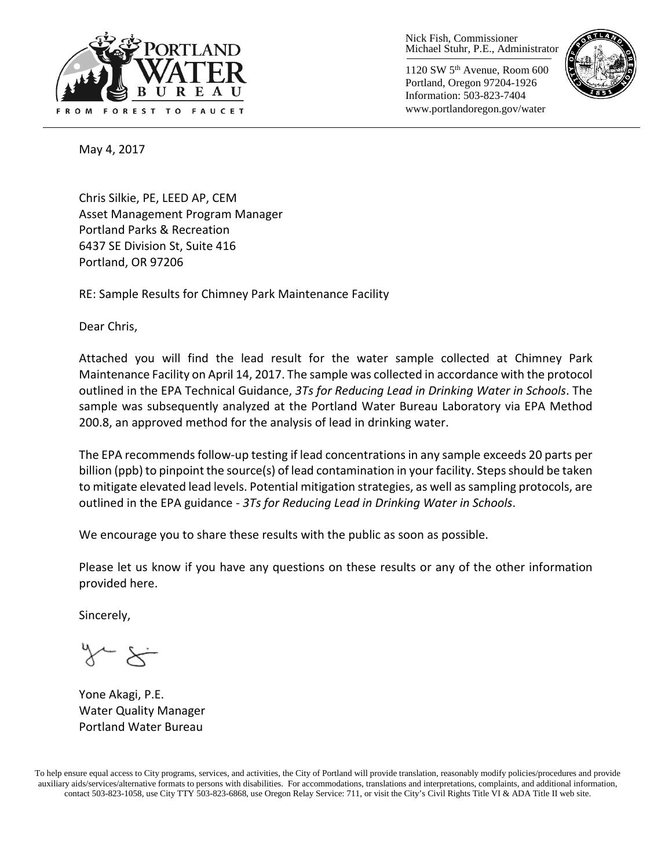

Nick Fish, Commissioner Michael Stuhr, P.E., Administrator

1120 SW 5th Avenue, Room 600 Portland, Oregon 97204-1926 Information: 503-823-7404 www.portlandoregon.gov/water



May 4, 2017

Chris Silkie, PE, LEED AP, CEM Asset Management Program Manager Portland Parks & Recreation 6437 SE Division St, Suite 416 Portland, OR 97206

RE: Sample Results for Chimney Park Maintenance Facility

Dear Chris,

Attached you will find the lead result for the water sample collected at Chimney Park Maintenance Facility on April 14, 2017. The sample was collected in accordance with the protocol outlined in the EPA Technical Guidance, *3Ts for Reducing Lead in Drinking Water in Schools*. The sample was subsequently analyzed at the Portland Water Bureau Laboratory via EPA Method 200.8, an approved method for the analysis of lead in drinking water.

The EPA recommends follow-up testing if lead concentrations in any sample exceeds 20 parts per billion (ppb) to pinpoint the source(s) of lead contamination in your facility. Steps should be taken to mitigate elevated lead levels. Potential mitigation strategies, as well as sampling protocols, are outlined in the EPA guidance - *3Ts for Reducing Lead in Drinking Water in Schools*.

We encourage you to share these results with the public as soon as possible.

Please let us know if you have any questions on these results or any of the other information provided here.

Sincerely,

Yone Akagi, P.E. Water Quality Manager Portland Water Bureau

To help ensure equal access to City programs, services, and activities, the City of Portland will provide translation, reasonably modify policies/procedures and provide auxiliary aids/services/alternative formats to persons with disabilities. For accommodations, translations and interpretations, complaints, and additional information, contact 503-823-1058, use City TTY 503-823-6868, use Oregon Relay Service: 711, or visi[t the City's Civil Rights Title VI & ADA Title II web site.](http://www.portlandoregon.gov/oehr/66458)